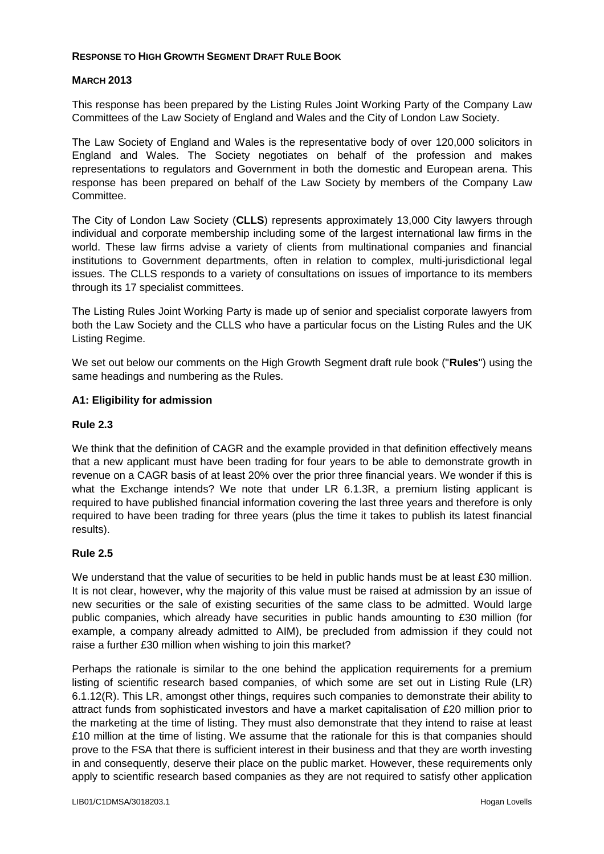### **RESPONSE TO HIGH GROWTH SEGMENT DRAFT RULE BOOK**

### **MARCH 2013**

This response has been prepared by the Listing Rules Joint Working Party of the Company Law Committees of the Law Society of England and Wales and the City of London Law Society.

The Law Society of England and Wales is the representative body of over 120,000 solicitors in England and Wales. The Society negotiates on behalf of the profession and makes representations to regulators and Government in both the domestic and European arena. This response has been prepared on behalf of the Law Society by members of the Company Law Committee.

The City of London Law Society (**CLLS**) represents approximately 13,000 City lawyers through individual and corporate membership including some of the largest international law firms in the world. These law firms advise a variety of clients from multinational companies and financial institutions to Government departments, often in relation to complex, multi-jurisdictional legal issues. The CLLS responds to a variety of consultations on issues of importance to its members through its 17 specialist committees.

The Listing Rules Joint Working Party is made up of senior and specialist corporate lawyers from both the Law Society and the CLLS who have a particular focus on the Listing Rules and the UK Listing Regime.

We set out below our comments on the High Growth Segment draft rule book ("**Rules**") using the same headings and numbering as the Rules.

#### **A1: Eligibility for admission**

#### **Rule 2.3**

We think that the definition of CAGR and the example provided in that definition effectively means that a new applicant must have been trading for four years to be able to demonstrate growth in revenue on a CAGR basis of at least 20% over the prior three financial years. We wonder if this is what the Exchange intends? We note that under LR 6.1.3R, a premium listing applicant is required to have published financial information covering the last three years and therefore is only required to have been trading for three years (plus the time it takes to publish its latest financial results).

### **Rule 2.5**

We understand that the value of securities to be held in public hands must be at least £30 million. It is not clear, however, why the majority of this value must be raised at admission by an issue of new securities or the sale of existing securities of the same class to be admitted. Would large public companies, which already have securities in public hands amounting to £30 million (for example, a company already admitted to AIM), be precluded from admission if they could not raise a further £30 million when wishing to join this market?

Perhaps the rationale is similar to the one behind the application requirements for a premium listing of scientific research based companies, of which some are set out in Listing Rule (LR) 6.1.12(R). This LR, amongst other things, requires such companies to demonstrate their ability to attract funds from sophisticated investors and have a market capitalisation of £20 million prior to the marketing at the time of listing. They must also demonstrate that they intend to raise at least £10 million at the time of listing. We assume that the rationale for this is that companies should prove to the FSA that there is sufficient interest in their business and that they are worth investing in and consequently, deserve their place on the public market. However, these requirements only apply to scientific research based companies as they are not required to satisfy other application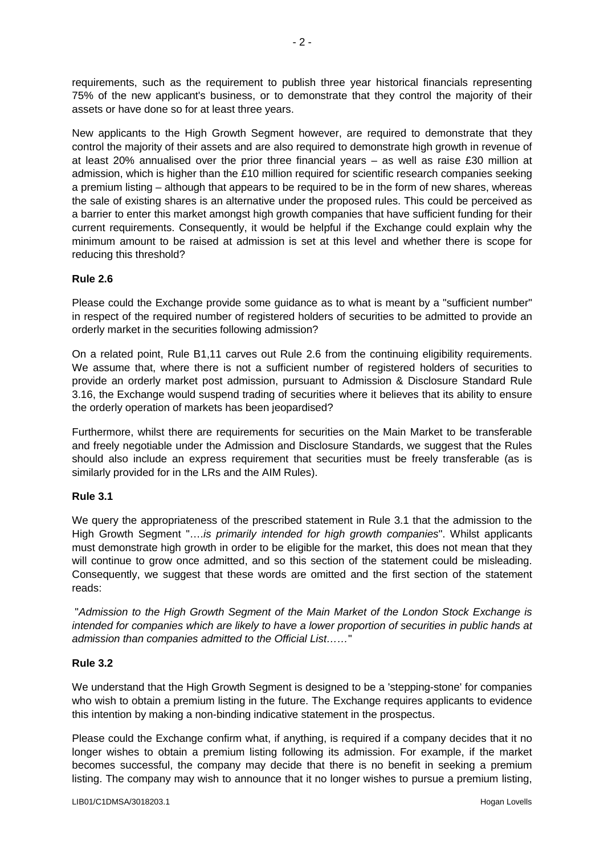requirements, such as the requirement to publish three year historical financials representing 75% of the new applicant's business, or to demonstrate that they control the majority of their assets or have done so for at least three years.

New applicants to the High Growth Segment however, are required to demonstrate that they control the majority of their assets and are also required to demonstrate high growth in revenue of at least 20% annualised over the prior three financial years – as well as raise £30 million at admission, which is higher than the £10 million required for scientific research companies seeking a premium listing – although that appears to be required to be in the form of new shares, whereas the sale of existing shares is an alternative under the proposed rules. This could be perceived as a barrier to enter this market amongst high growth companies that have sufficient funding for their current requirements. Consequently, it would be helpful if the Exchange could explain why the minimum amount to be raised at admission is set at this level and whether there is scope for reducing this threshold?

# **Rule 2.6**

Please could the Exchange provide some guidance as to what is meant by a "sufficient number" in respect of the required number of registered holders of securities to be admitted to provide an orderly market in the securities following admission?

On a related point, Rule B1,11 carves out Rule 2.6 from the continuing eligibility requirements. We assume that, where there is not a sufficient number of registered holders of securities to provide an orderly market post admission, pursuant to Admission & Disclosure Standard Rule 3.16, the Exchange would suspend trading of securities where it believes that its ability to ensure the orderly operation of markets has been jeopardised?

Furthermore, whilst there are requirements for securities on the Main Market to be transferable and freely negotiable under the Admission and Disclosure Standards, we suggest that the Rules should also include an express requirement that securities must be freely transferable (as is similarly provided for in the LRs and the AIM Rules).

# **Rule 3.1**

We query the appropriateness of the prescribed statement in Rule 3.1 that the admission to the High Growth Segment "….*is primarily intended for high growth companies*". Whilst applicants must demonstrate high growth in order to be eligible for the market, this does not mean that they will continue to grow once admitted, and so this section of the statement could be misleading. Consequently, we suggest that these words are omitted and the first section of the statement reads:

"*Admission to the High Growth Segment of the Main Market of the London Stock Exchange is intended for companies which are likely to have a lower proportion of securities in public hands at admission than companies admitted to the Official List……*"

### **Rule 3.2**

We understand that the High Growth Segment is designed to be a 'stepping-stone' for companies who wish to obtain a premium listing in the future. The Exchange requires applicants to evidence this intention by making a non-binding indicative statement in the prospectus.

Please could the Exchange confirm what, if anything, is required if a company decides that it no longer wishes to obtain a premium listing following its admission. For example, if the market becomes successful, the company may decide that there is no benefit in seeking a premium listing. The company may wish to announce that it no longer wishes to pursue a premium listing,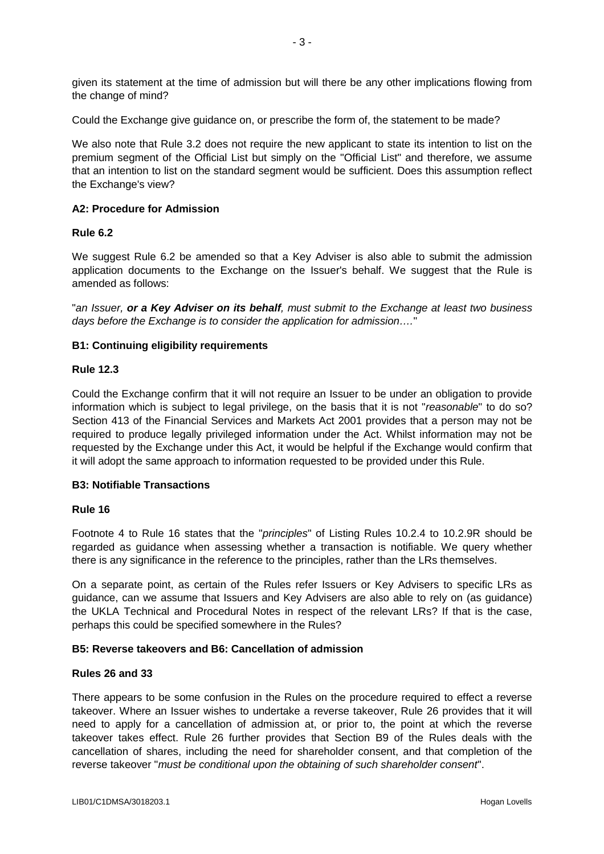given its statement at the time of admission but will there be any other implications flowing from the change of mind?

Could the Exchange give guidance on, or prescribe the form of, the statement to be made?

We also note that Rule 3.2 does not require the new applicant to state its intention to list on the premium segment of the Official List but simply on the "Official List" and therefore, we assume that an intention to list on the standard segment would be sufficient. Does this assumption reflect the Exchange's view?

### **A2: Procedure for Admission**

### **Rule 6.2**

We suggest Rule 6.2 be amended so that a Key Adviser is also able to submit the admission application documents to the Exchange on the Issuer's behalf. We suggest that the Rule is amended as follows:

"*an Issuer, or a Key Adviser on its behalf, must submit to the Exchange at least two business days before the Exchange is to consider the application for admission….*"

#### **B1: Continuing eligibility requirements**

#### **Rule 12.3**

Could the Exchange confirm that it will not require an Issuer to be under an obligation to provide information which is subject to legal privilege, on the basis that it is not "*reasonable*" to do so? Section 413 of the Financial Services and Markets Act 2001 provides that a person may not be required to produce legally privileged information under the Act. Whilst information may not be requested by the Exchange under this Act, it would be helpful if the Exchange would confirm that it will adopt the same approach to information requested to be provided under this Rule.

#### **B3: Notifiable Transactions**

#### **Rule 16**

Footnote 4 to Rule 16 states that the "*principles*" of Listing Rules 10.2.4 to 10.2.9R should be regarded as guidance when assessing whether a transaction is notifiable. We query whether there is any significance in the reference to the principles, rather than the LRs themselves.

On a separate point, as certain of the Rules refer Issuers or Key Advisers to specific LRs as guidance, can we assume that Issuers and Key Advisers are also able to rely on (as guidance) the UKLA Technical and Procedural Notes in respect of the relevant LRs? If that is the case, perhaps this could be specified somewhere in the Rules?

#### **B5: Reverse takeovers and B6: Cancellation of admission**

#### **Rules 26 and 33**

There appears to be some confusion in the Rules on the procedure required to effect a reverse takeover. Where an Issuer wishes to undertake a reverse takeover, Rule 26 provides that it will need to apply for a cancellation of admission at, or prior to, the point at which the reverse takeover takes effect. Rule 26 further provides that Section B9 of the Rules deals with the cancellation of shares, including the need for shareholder consent, and that completion of the reverse takeover "*must be conditional upon the obtaining of such shareholder consent*".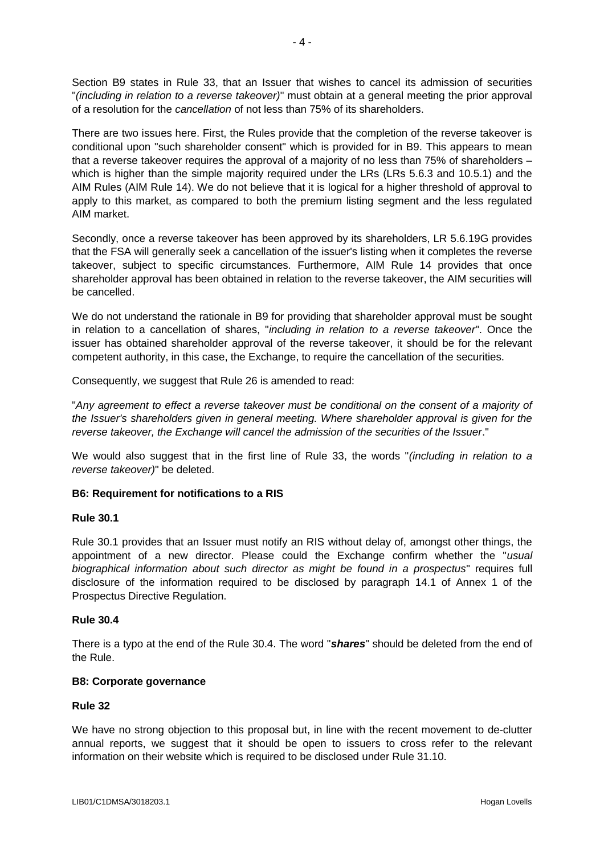Section B9 states in Rule 33, that an Issuer that wishes to cancel its admission of securities "*(including in relation to a reverse takeover)*" must obtain at a general meeting the prior approval of a resolution for the *cancellation* of not less than 75% of its shareholders.

There are two issues here. First, the Rules provide that the completion of the reverse takeover is conditional upon "such shareholder consent" which is provided for in B9. This appears to mean that a reverse takeover requires the approval of a majority of no less than 75% of shareholders – which is higher than the simple majority required under the LRs (LRs 5.6.3 and 10.5.1) and the AIM Rules (AIM Rule 14). We do not believe that it is logical for a higher threshold of approval to apply to this market, as compared to both the premium listing segment and the less regulated AIM market.

Secondly, once a reverse takeover has been approved by its shareholders, LR 5.6.19G provides that the FSA will generally seek a cancellation of the issuer's listing when it completes the reverse takeover, subject to specific circumstances. Furthermore, AIM Rule 14 provides that once shareholder approval has been obtained in relation to the reverse takeover, the AIM securities will be cancelled.

We do not understand the rationale in B9 for providing that shareholder approval must be sought in relation to a cancellation of shares, "*including in relation to a reverse takeover*". Once the issuer has obtained shareholder approval of the reverse takeover, it should be for the relevant competent authority, in this case, the Exchange, to require the cancellation of the securities.

Consequently, we suggest that Rule 26 is amended to read:

"*Any agreement to effect a reverse takeover must be conditional on the consent of a majority of the Issuer's shareholders given in general meeting. Where shareholder approval is given for the reverse takeover, the Exchange will cancel the admission of the securities of the Issuer*."

We would also suggest that in the first line of Rule 33, the words "*(including in relation to a reverse takeover)*" be deleted.

### **B6: Requirement for notifications to a RIS**

### **Rule 30.1**

Rule 30.1 provides that an Issuer must notify an RIS without delay of, amongst other things, the appointment of a new director. Please could the Exchange confirm whether the "*usual biographical information about such director as might be found in a prospectus*" requires full disclosure of the information required to be disclosed by paragraph 14.1 of Annex 1 of the Prospectus Directive Regulation.

### **Rule 30.4**

There is a typo at the end of the Rule 30.4. The word "*shares*" should be deleted from the end of the Rule.

### **B8: Corporate governance**

### **Rule 32**

We have no strong objection to this proposal but, in line with the recent movement to de-clutter annual reports, we suggest that it should be open to issuers to cross refer to the relevant information on their website which is required to be disclosed under Rule 31.10.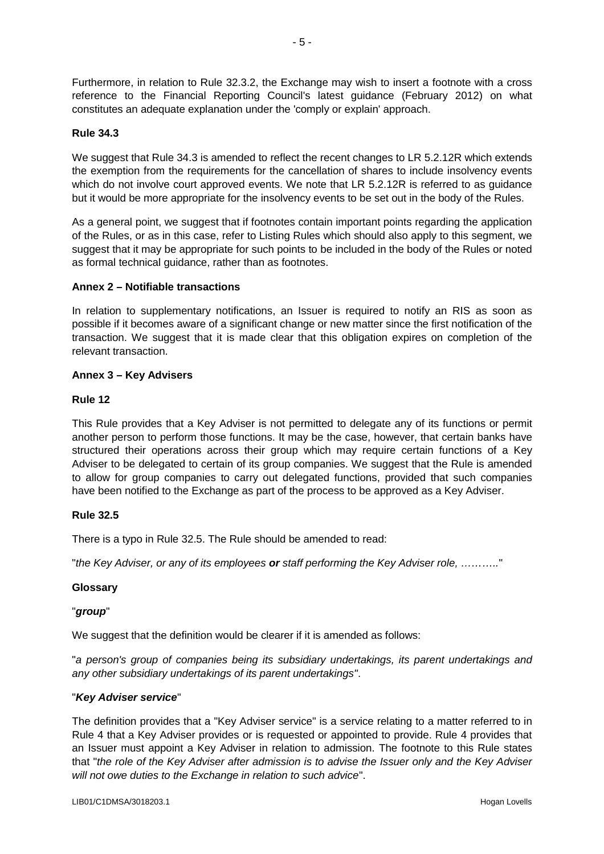Furthermore, in relation to Rule 32.3.2, the Exchange may wish to insert a footnote with a cross reference to the Financial Reporting Council's latest guidance (February 2012) on what constitutes an adequate explanation under the 'comply or explain' approach.

# **Rule 34.3**

We suggest that Rule 34.3 is amended to reflect the recent changes to LR 5.2.12R which extends the exemption from the requirements for the cancellation of shares to include insolvency events which do not involve court approved events. We note that LR 5.2.12R is referred to as quidance but it would be more appropriate for the insolvency events to be set out in the body of the Rules.

As a general point, we suggest that if footnotes contain important points regarding the application of the Rules, or as in this case, refer to Listing Rules which should also apply to this segment, we suggest that it may be appropriate for such points to be included in the body of the Rules or noted as formal technical guidance, rather than as footnotes.

### **Annex 2 – Notifiable transactions**

In relation to supplementary notifications, an Issuer is required to notify an RIS as soon as possible if it becomes aware of a significant change or new matter since the first notification of the transaction. We suggest that it is made clear that this obligation expires on completion of the relevant transaction.

# **Annex 3 – Key Advisers**

# **Rule 12**

This Rule provides that a Key Adviser is not permitted to delegate any of its functions or permit another person to perform those functions. It may be the case, however, that certain banks have structured their operations across their group which may require certain functions of a Key Adviser to be delegated to certain of its group companies. We suggest that the Rule is amended to allow for group companies to carry out delegated functions, provided that such companies have been notified to the Exchange as part of the process to be approved as a Key Adviser.

### **Rule 32.5**

There is a typo in Rule 32.5. The Rule should be amended to read:

"*the Key Adviser, or any of its employees or staff performing the Key Adviser role, ………..*"

### **Glossary**

### "*group*"

We suggest that the definition would be clearer if it is amended as follows:

"*a person's group of companies being its subsidiary undertakings, its parent undertakings and any other subsidiary undertakings of its parent undertakings"*.

### "*Key Adviser service*"

The definition provides that a "Key Adviser service" is a service relating to a matter referred to in Rule 4 that a Key Adviser provides or is requested or appointed to provide. Rule 4 provides that an Issuer must appoint a Key Adviser in relation to admission. The footnote to this Rule states that "*the role of the Key Adviser after admission is to advise the Issuer only and the Key Adviser will not owe duties to the Exchange in relation to such advice*".